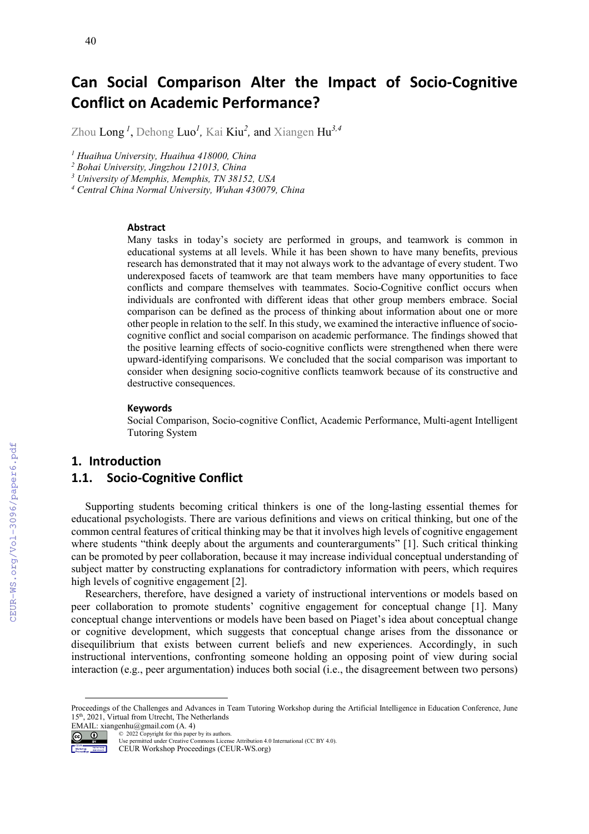# **Can Social Comparison Alter the Impact of Socio-Cognitive Conflict on Academic Performance?**

Zhou Long *<sup>1</sup>* , Dehong Luo*<sup>1</sup> ,* Kai Kiu*<sup>2</sup> ,* and Xiangen Hu*3,4*

*<sup>1</sup> Huaihua University, Huaihua 418000, China*

*<sup>2</sup> Bohai University, Jingzhou 121013, China*

*<sup>3</sup> University of Memphis, Memphis, TN 38152, USA*

*<sup>4</sup> Central China Normal University, Wuhan 430079, China*

#### **Abstract**

Many tasks in today's society are performed in groups, and teamwork is common in educational systems at all levels. While it has been shown to have many benefits, previous research has demonstrated that it may not always work to the advantage of every student. Two underexposed facets of teamwork are that team members have many opportunities to face conflicts and compare themselves with teammates. Socio-Cognitive conflict occurs when individuals are confronted with different ideas that other group members embrace. Social comparison can be defined as the process of thinking about information about one or more other people in relation to the self. In this study, we examined the interactive influence of sociocognitive conflict and social comparison on academic performance. The findings showed that the positive learning effects of socio-cognitive conflicts were strengthened when there were upward-identifying comparisons. We concluded that the social comparison was important to consider when designing socio-cognitive conflicts teamwork because of its constructive and destructive consequences.

#### **Keywords**

Social Comparison, Socio-cognitive Conflict, Academic Performance, Multi-agent Intelligent Tutoring Syste[m1](#page-0-0)

#### **1. Introduction**

## **1.1. Socio-Cognitive Conflict**

Supporting students becoming critical thinkers is one of the long-lasting essential themes for educational psychologists. There are various definitions and views on critical thinking, but one of the common central features of critical thinking may be that it involves high levels of cognitive engagement where students "think deeply about the arguments and counterarguments" [1]. Such critical thinking can be promoted by peer collaboration, because it may increase individual conceptual understanding of subject matter by constructing explanations for contradictory information with peers, which requires high levels of cognitive engagement [2].

Researchers, therefore, have designed a variety of instructional interventions or models based on peer collaboration to promote students' cognitive engagement for conceptual change [1]. Many conceptual change interventions or models have been based on Piaget's idea about conceptual change or cognitive development, which suggests that conceptual change arises from the dissonance or disequilibrium that exists between current beliefs and new experiences. Accordingly, in such instructional interventions, confronting someone holding an opposing point of view during social interaction (e.g., peer argumentation) induces both social (i.e., the disagreement between two persons)

EMAIL: xiangenhu@gmail.com (A. 4)

Workshop Mortaneous

Use permitted under Creative Commons License Attribution 4.0 International (CC BY 4.0).

CEUR Workshop Proceedings (CEUR-WS.org)

<span id="page-0-0"></span>Proceedings of the Challenges and Advances in Team Tutoring Workshop during the Artificial Intelligence in Education Conference, June 15<sup>th</sup>, 2021, Virtual from Utrecht, The Netherlands

<sup>©</sup> 2022 Copyright for this paper by its authors.  $\circ$   $\circ$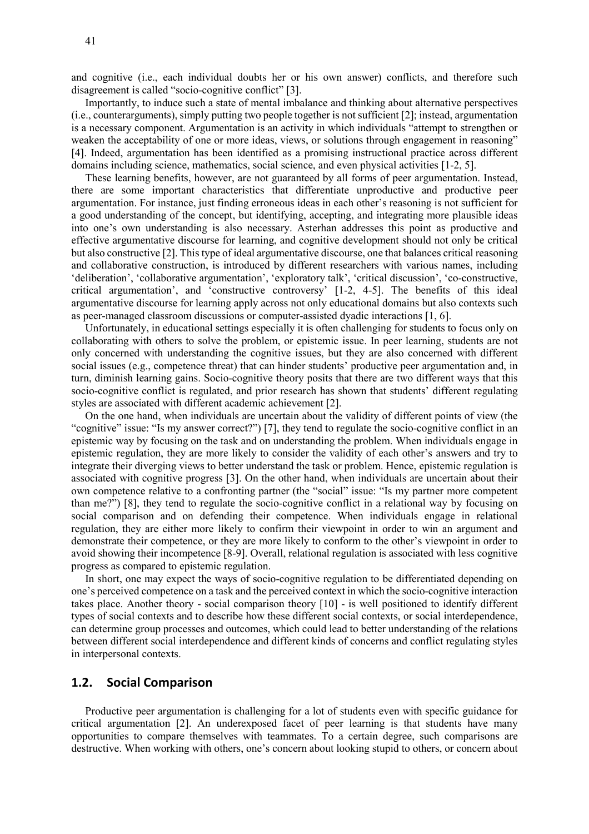and cognitive (i.e., each individual doubts her or his own answer) conflicts, and therefore such disagreement is called "socio-cognitive conflict" [3].

Importantly, to induce such a state of mental imbalance and thinking about alternative perspectives (i.e., counterarguments), simply putting two people together is not sufficient [2]; instead, argumentation is a necessary component. Argumentation is an activity in which individuals "attempt to strengthen or weaken the acceptability of one or more ideas, views, or solutions through engagement in reasoning" [4]. Indeed, argumentation has been identified as a promising instructional practice across different domains including science, mathematics, social science, and even physical activities [1-2, 5].

These learning benefits, however, are not guaranteed by all forms of peer argumentation. Instead, there are some important characteristics that differentiate unproductive and productive peer argumentation. For instance, just finding erroneous ideas in each other's reasoning is not sufficient for a good understanding of the concept, but identifying, accepting, and integrating more plausible ideas into one's own understanding is also necessary. Asterhan addresses this point as productive and effective argumentative discourse for learning, and cognitive development should not only be critical but also constructive [2]. This type of ideal argumentative discourse, one that balances critical reasoning and collaborative construction, is introduced by different researchers with various names, including 'deliberation', 'collaborative argumentation', 'exploratory talk', 'critical discussion', 'co-constructive, critical argumentation', and 'constructive controversy' [1-2, 4-5]. The benefits of this ideal argumentative discourse for learning apply across not only educational domains but also contexts such as peer-managed classroom discussions or computer-assisted dyadic interactions [1, 6].

Unfortunately, in educational settings especially it is often challenging for students to focus only on collaborating with others to solve the problem, or epistemic issue. In peer learning, students are not only concerned with understanding the cognitive issues, but they are also concerned with different social issues (e.g., competence threat) that can hinder students' productive peer argumentation and, in turn, diminish learning gains. Socio-cognitive theory posits that there are two different ways that this socio-cognitive conflict is regulated, and prior research has shown that students' different regulating styles are associated with different academic achievement [2].

On the one hand, when individuals are uncertain about the validity of different points of view (the "cognitive" issue: "Is my answer correct?") [7], they tend to regulate the socio-cognitive conflict in an epistemic way by focusing on the task and on understanding the problem. When individuals engage in epistemic regulation, they are more likely to consider the validity of each other's answers and try to integrate their diverging views to better understand the task or problem. Hence, epistemic regulation is associated with cognitive progress [3]. On the other hand, when individuals are uncertain about their own competence relative to a confronting partner (the "social" issue: "Is my partner more competent than me?") [8], they tend to regulate the socio-cognitive conflict in a relational way by focusing on social comparison and on defending their competence. When individuals engage in relational regulation, they are either more likely to confirm their viewpoint in order to win an argument and demonstrate their competence, or they are more likely to conform to the other's viewpoint in order to avoid showing their incompetence [8-9]. Overall, relational regulation is associated with less cognitive progress as compared to epistemic regulation.

In short, one may expect the ways of socio-cognitive regulation to be differentiated depending on one's perceived competence on a task and the perceived context in which the socio-cognitive interaction takes place. Another theory - social comparison theory [10] - is well positioned to identify different types of social contexts and to describe how these different social contexts, or social interdependence, can determine group processes and outcomes, which could lead to better understanding of the relations between different social interdependence and different kinds of concerns and conflict regulating styles in interpersonal contexts.

#### **1.2. Social Comparison**

Productive peer argumentation is challenging for a lot of students even with specific guidance for critical argumentation [2]. An underexposed facet of peer learning is that students have many opportunities to compare themselves with teammates. To a certain degree, such comparisons are destructive. When working with others, one's concern about looking stupid to others, or concern about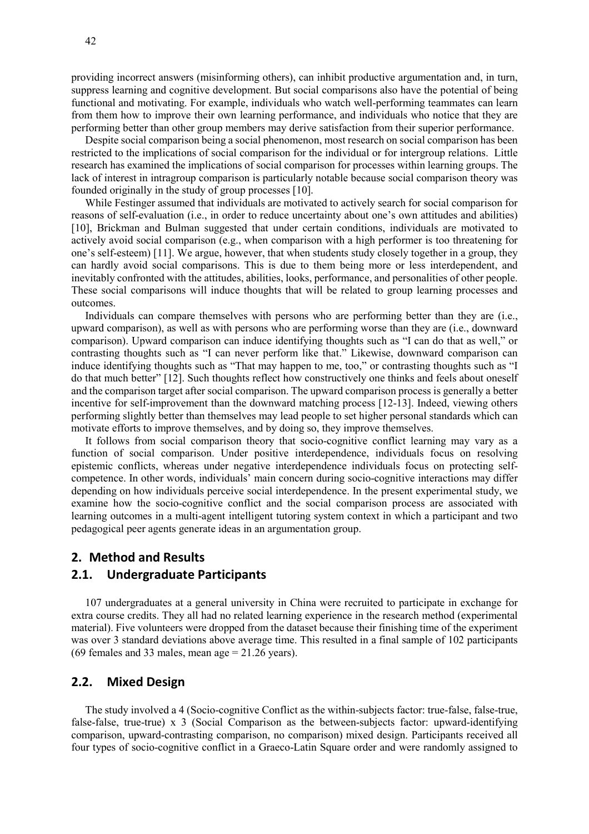providing incorrect answers (misinforming others), can inhibit productive argumentation and, in turn, suppress learning and cognitive development. But social comparisons also have the potential of being functional and motivating. For example, individuals who watch well-performing teammates can learn from them how to improve their own learning performance, and individuals who notice that they are performing better than other group members may derive satisfaction from their superior performance.

Despite social comparison being a social phenomenon, most research on social comparison has been restricted to the implications of social comparison for the individual or for intergroup relations. Little research has examined the implications of social comparison for processes within learning groups. The lack of interest in intragroup comparison is particularly notable because social comparison theory was founded originally in the study of group processes [10].

While Festinger assumed that individuals are motivated to actively search for social comparison for reasons of self-evaluation (i.e., in order to reduce uncertainty about one's own attitudes and abilities) [10], Brickman and Bulman suggested that under certain conditions, individuals are motivated to actively avoid social comparison (e.g., when comparison with a high performer is too threatening for one's self-esteem) [11]. We argue, however, that when students study closely together in a group, they can hardly avoid social comparisons. This is due to them being more or less interdependent, and inevitably confronted with the attitudes, abilities, looks, performance, and personalities of other people. These social comparisons will induce thoughts that will be related to group learning processes and outcomes.

Individuals can compare themselves with persons who are performing better than they are (i.e., upward comparison), as well as with persons who are performing worse than they are (i.e., downward comparison). Upward comparison can induce identifying thoughts such as "I can do that as well," or contrasting thoughts such as "I can never perform like that." Likewise, downward comparison can induce identifying thoughts such as "That may happen to me, too," or contrasting thoughts such as "I do that much better" [12]. Such thoughts reflect how constructively one thinks and feels about oneself and the comparison target after social comparison. The upward comparison process is generally a better incentive for self-improvement than the downward matching process [12-13]. Indeed, viewing others performing slightly better than themselves may lead people to set higher personal standards which can motivate efforts to improve themselves, and by doing so, they improve themselves.

It follows from social comparison theory that socio-cognitive conflict learning may vary as a function of social comparison. Under positive interdependence, individuals focus on resolving epistemic conflicts, whereas under negative interdependence individuals focus on protecting selfcompetence. In other words, individuals' main concern during socio-cognitive interactions may differ depending on how individuals perceive social interdependence. In the present experimental study, we examine how the socio-cognitive conflict and the social comparison process are associated with learning outcomes in a multi-agent intelligent tutoring system context in which a participant and two pedagogical peer agents generate ideas in an argumentation group.

# **2. Method and Results**

#### **2.1. Undergraduate Participants**

107 undergraduates at a general university in China were recruited to participate in exchange for extra course credits. They all had no related learning experience in the research method (experimental material). Five volunteers were dropped from the dataset because their finishing time of the experiment was over 3 standard deviations above average time. This resulted in a final sample of 102 participants (69 females and 33 males, mean age  $= 21.26$  years).

## **2.2. Mixed Design**

The study involved a 4 (Socio-cognitive Conflict as the within-subjects factor: true-false, false-true, false-false, true-true) x 3 (Social Comparison as the between-subjects factor: upward-identifying comparison, upward-contrasting comparison, no comparison) mixed design. Participants received all four types of socio-cognitive conflict in a Graeco-Latin Square order and were randomly assigned to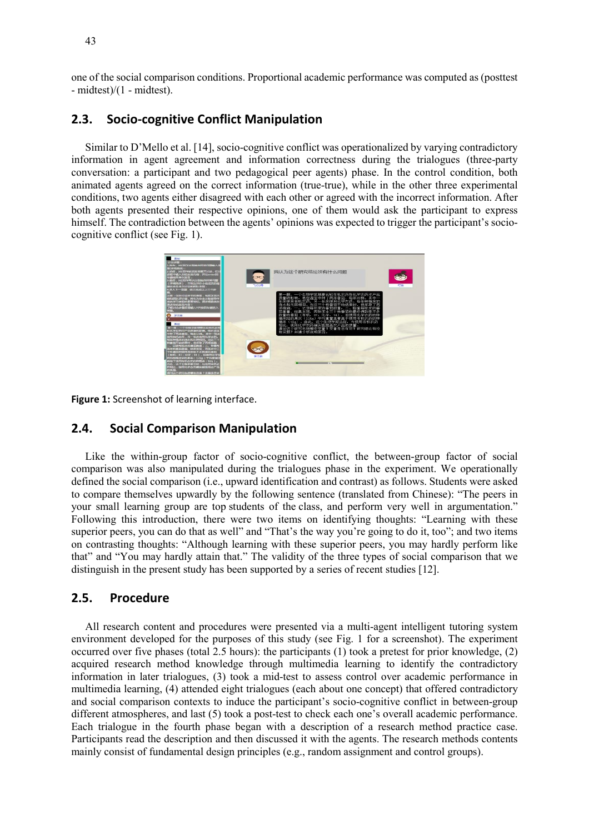one of the social comparison conditions. Proportional academic performance was computed as (posttest - midtest)/(1 - midtest).

#### **2.3. Socio-cognitive Conflict Manipulation**

Similar to D'Mello et al. [14], socio-cognitive conflict was operationalized by varying contradictory information in agent agreement and information correctness during the trialogues (three-party conversation: a participant and two pedagogical peer agents) phase. In the control condition, both animated agents agreed on the correct information (true-true), while in the other three experimental conditions, two agents either disagreed with each other or agreed with the incorrect information. After both agents presented their respective opinions, one of them would ask the participant to express himself. The contradiction between the agents' opinions was expected to trigger the participant's sociocognitive conflict (see Fig. 1).



**Figure 1:** Screenshot of learning interface.

# **2.4. Social Comparison Manipulation**

Like the within-group factor of socio-cognitive conflict, the between-group factor of social comparison was also manipulated during the trialogues phase in the experiment. We operationally defined the social comparison (i.e., upward identification and contrast) as follows. Students were asked to compare themselves upwardly by the following sentence (translated from Chinese): "The peers in your small learning group are top students of the class, and perform very well in argumentation." Following this introduction, there were two items on identifying thoughts: "Learning with these superior peers, you can do that as well" and "That's the way you're going to do it, too"; and two items on contrasting thoughts: "Although learning with these superior peers, you may hardly perform like that" and "You may hardly attain that." The validity of the three types of social comparison that we distinguish in the present study has been supported by a series of recent studies [12].

#### **2.5. Procedure**

All research content and procedures were presented via a multi-agent intelligent tutoring system environment developed for the purposes of this study (see Fig. 1 for a screenshot). The experiment occurred over five phases (total 2.5 hours): the participants (1) took a pretest for prior knowledge, (2) acquired research method knowledge through multimedia learning to identify the contradictory information in later trialogues, (3) took a mid-test to assess control over academic performance in multimedia learning, (4) attended eight trialogues (each about one concept) that offered contradictory and social comparison contexts to induce the participant's socio-cognitive conflict in between-group different atmospheres, and last (5) took a post-test to check each one's overall academic performance. Each trialogue in the fourth phase began with a description of a research method practice case. Participants read the description and then discussed it with the agents. The research methods contents mainly consist of fundamental design principles (e.g., random assignment and control groups).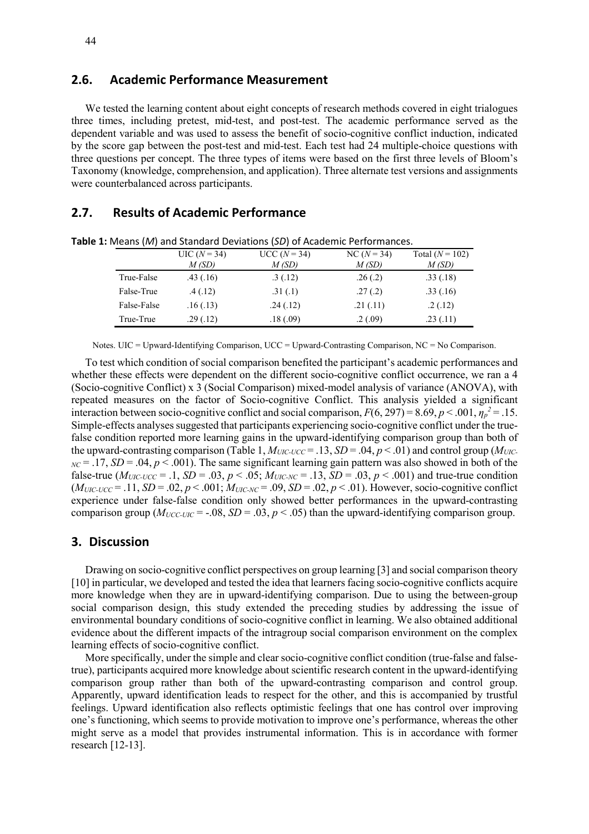#### **2.6. Academic Performance Measurement**

We tested the learning content about eight concepts of research methods covered in eight trialogues three times, including pretest, mid-test, and post-test. The academic performance served as the dependent variable and was used to assess the benefit of socio-cognitive conflict induction, indicated by the score gap between the post-test and mid-test. Each test had 24 multiple-choice questions with three questions per concept. The three types of items were based on the first three levels of Bloom's Taxonomy (knowledge, comprehension, and application). Three alternate test versions and assignments were counterbalanced across participants.

## **2.7. Results of Academic Performance**

|             | $UIC (N = 34)$<br>M(SD) | $UCC (N = 34)$<br>M(SD) | $NC(N = 34)$<br>M(SD) | Total $(N = 102)$<br>M(SD) |
|-------------|-------------------------|-------------------------|-----------------------|----------------------------|
| True-False  | .43(.16)                | .3(.12)                 | .26(.2)               | .33(.18)                   |
| False-True  | .4(.12)                 | .31(.1)                 | .27(.2)               | .33(.16)                   |
| False-False | .16(0.13)               | .24(.12)                | .21(.11)              | .2(.12)                    |
| True-True   | .29(.12)                | .18(.09)                | .2(.09)               | .23(.11)                   |

**Table 1:** Means (*M*) and Standard Deviations (*SD*) of Academic Performances.

Notes. UIC = Upward-Identifying Comparison, UCC = Upward-Contrasting Comparison, NC = No Comparison.

To test which condition of social comparison benefited the participant's academic performances and whether these effects were dependent on the different socio-cognitive conflict occurrence, we ran a 4 (Socio-cognitive Conflict) x 3 (Social Comparison) mixed-model analysis of variance (ANOVA), with repeated measures on the factor of Socio-cognitive Conflict. This analysis yielded a significant interaction between socio-cognitive conflict and social comparison,  $F(6, 297) = 8.69$ ,  $p < .001$ ,  $\eta_p^2 = .15$ . Simple-effects analyses suggested that participants experiencing socio-cognitive conflict under the truefalse condition reported more learning gains in the upward-identifying comparison group than both of the upward-contrasting comparison (Table 1,  $M_{UIC-UCC} = .13$ ,  $SD = .04$ ,  $p < .01$ ) and control group ( $M_{UIC}$  $N = 0.17$ ,  $SD = 0.04$ ,  $p < 0.001$ ). The same significant learning gain pattern was also showed in both of the false-true  $(M_{UIC-UCC} = .1, SD = .03, p < .05; M_{UIC-NC} = .13, SD = .03, p < .001)$  and true-true condition  $(M_{UIC-UCC} = .11, SD = .02, p < .001; M_{UIC-NC} = .09, SD = .02, p < .01)$ . However, socio-cognitive conflict experience under false-false condition only showed better performances in the upward-contrasting comparison group ( $M_{UCC-UIC}$  = -.08, *SD* = .03, *p* < .05) than the upward-identifying comparison group.

#### **3. Discussion**

Drawing on socio-cognitive conflict perspectives on group learning [3] and social comparison theory [10] in particular, we developed and tested the idea that learners facing socio-cognitive conflicts acquire more knowledge when they are in upward-identifying comparison. Due to using the between-group social comparison design, this study extended the preceding studies by addressing the issue of environmental boundary conditions of socio-cognitive conflict in learning. We also obtained additional evidence about the different impacts of the intragroup social comparison environment on the complex learning effects of socio-cognitive conflict.

More specifically, under the simple and clear socio-cognitive conflict condition (true-false and falsetrue), participants acquired more knowledge about scientific research content in the upward-identifying comparison group rather than both of the upward-contrasting comparison and control group. Apparently, upward identification leads to respect for the other, and this is accompanied by trustful feelings. Upward identification also reflects optimistic feelings that one has control over improving one's functioning, which seems to provide motivation to improve one's performance, whereas the other might serve as a model that provides instrumental information. This is in accordance with former research [12-13].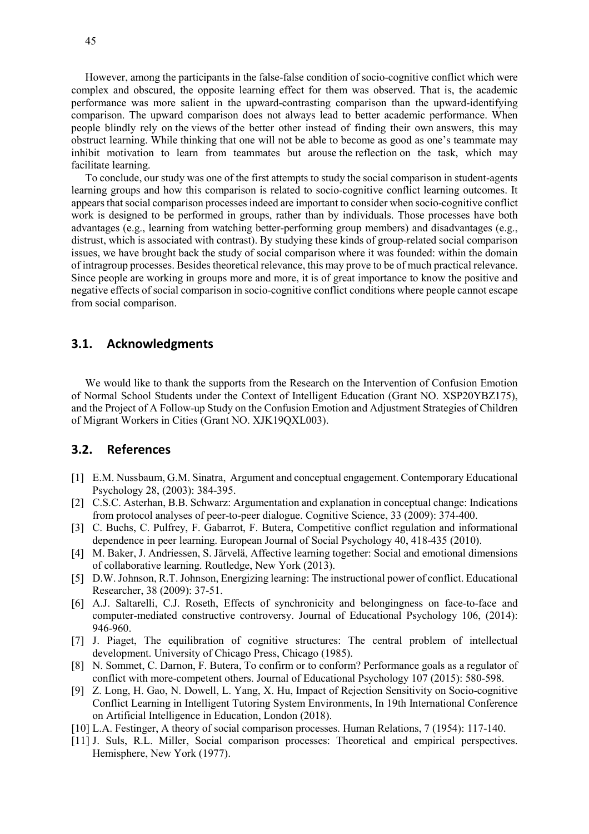However, among the participants in the false-false condition of socio-cognitive conflict which were complex and obscured, the opposite learning effect for them was observed. That is, the academic performance was more salient in the upward-contrasting comparison than the upward-identifying comparison. The upward comparison does not always lead to better academic performance. When people blindly rely on the views of the better other instead of finding their own answers, this may obstruct learning. While thinking that one will not be able to become as good as one's teammate may inhibit motivation to learn from teammates but arouse the reflection on the task, which may facilitate learning.

To conclude, our study was one of the first attempts to study the social comparison in student-agents learning groups and how this comparison is related to socio-cognitive conflict learning outcomes. It appears that social comparison processes indeed are important to consider when socio-cognitive conflict work is designed to be performed in groups, rather than by individuals. Those processes have both advantages (e.g., learning from watching better-performing group members) and disadvantages (e.g., distrust, which is associated with contrast). By studying these kinds of group-related social comparison issues, we have brought back the study of social comparison where it was founded: within the domain of intragroup processes. Besides theoretical relevance, this may prove to be of much practical relevance. Since people are working in groups more and more, it is of great importance to know the positive and negative effects of social comparison in socio-cognitive conflict conditions where people cannot escape from social comparison.

# **3.1. Acknowledgments**

We would like to thank the supports from the Research on the Intervention of Confusion Emotion of Normal School Students under the Context of Intelligent Education (Grant NO. XSP20YBZ175), and the Project of A Follow-up Study on the Confusion Emotion and Adjustment Strategies of Children of Migrant Workers in Cities (Grant NO. XJK19QXL003).

# **3.2. References**

- [1] E.M. Nussbaum, G.M. Sinatra, Argument and conceptual engagement. Contemporary Educational Psychology 28, (2003): 384-395.
- [2] C.S.C. Asterhan, B.B. Schwarz: Argumentation and explanation in conceptual change: Indications from protocol analyses of peer-to-peer dialogue. Cognitive Science, 33 (2009): 374-400.
- [3] C. Buchs, C. Pulfrey, F. Gabarrot, F. Butera, Competitive conflict regulation and informational dependence in peer learning. European Journal of Social Psychology 40, 418-435 (2010).
- [4] M. Baker, J. Andriessen, S. Järvelä, Affective learning together: Social and emotional dimensions of collaborative learning. Routledge, New York (2013).
- [5] D.W. Johnson, R.T.Johnson, Energizing learning: The instructional power of conflict. Educational Researcher, 38 (2009): 37-51.
- [6] A.J. Saltarelli, C.J. Roseth, Effects of synchronicity and belongingness on face-to-face and computer-mediated constructive controversy. Journal of Educational Psychology 106, (2014): 946-960.
- [7] J. Piaget, The equilibration of cognitive structures: The central problem of intellectual development. University of Chicago Press, Chicago (1985).
- [8] N. Sommet, C. Darnon, F. Butera, To confirm or to conform? Performance goals as a regulator of conflict with more-competent others. Journal of Educational Psychology 107 (2015): 580-598.
- [9] Z. Long, H. Gao, N. Dowell, L. Yang, X. Hu, Impact of Rejection Sensitivity on Socio-cognitive Conflict Learning in Intelligent Tutoring System Environments, In 19th International Conference on Artificial Intelligence in Education, London (2018).
- [10] L.A. Festinger, A theory of social comparison processes. Human Relations, 7 (1954): 117-140.
- [11] J. Suls, R.L. Miller, Social comparison processes: Theoretical and empirical perspectives. Hemisphere, New York (1977).